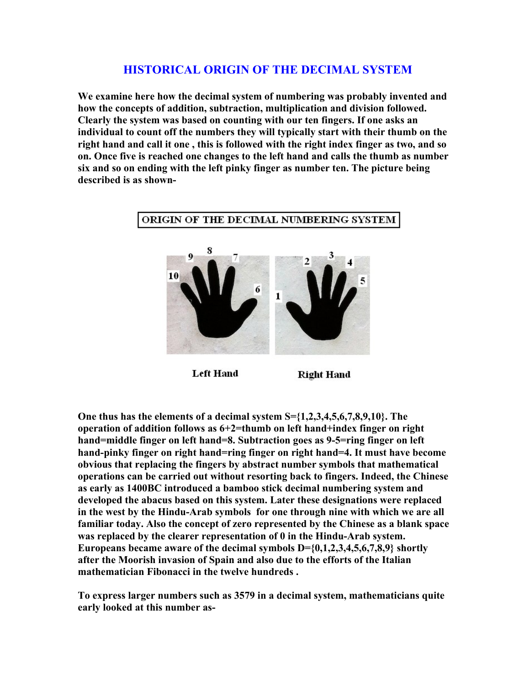## **HISTORICAL ORIGIN OF THE DECIMAL SYSTEM**

**We examine here how the decimal system of numbering was probably invented and how the concepts of addition, subtraction, multiplication and division followed. Clearly the system was based on counting with our ten fingers. If one asks an individual to count off the numbers they will typically start with their thumb on the right hand and call it one , this is followed with the right index finger as two, and so on. Once five is reached one changes to the left hand and calls the thumb as number six and so on ending with the left pinky finger as number ten. The picture being described is as shown-** 



**Left Hand** 

**Right Hand** 

**One thus has the elements of a decimal system S={1,2,3,4,5,6,7,8,9,10}. The operation of addition follows as 6+2=thumb on left hand+index finger on right hand=middle finger on left hand=8. Subtraction goes as 9-5=ring finger on left hand-pinky finger on right hand=ring finger on right hand=4. It must have become obvious that replacing the fingers by abstract number symbols that mathematical operations can be carried out without resorting back to fingers. Indeed, the Chinese as early as 1400BC introduced a bamboo stick decimal numbering system and developed the abacus based on this system. Later these designations were replaced in the west by the Hindu-Arab symbols for one through nine with which we are all familiar today. Also the concept of zero represented by the Chinese as a blank space was replaced by the clearer representation of 0 in the Hindu-Arab system. Europeans became aware of the decimal symbols D={0,1,2,3,4,5,6,7,8,9} shortly after the Moorish invasion of Spain and also due to the efforts of the Italian mathematician Fibonacci in the twelve hundreds .** 

**To express larger numbers such as 3579 in a decimal system, mathematicians quite early looked at this number as-**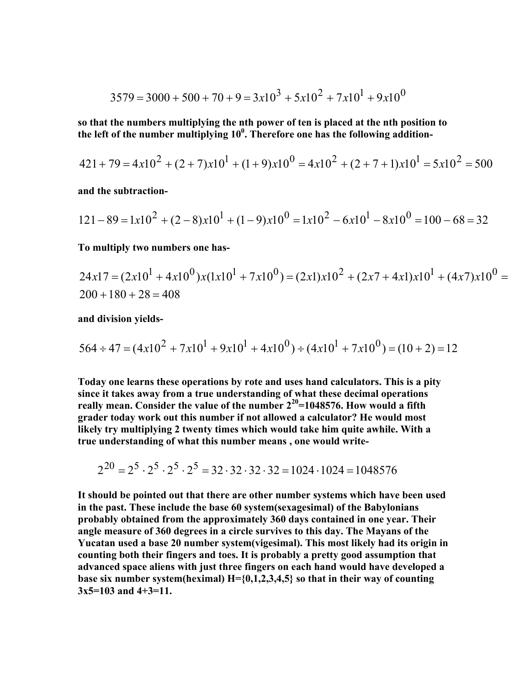$$
3579 = 3000 + 500 + 70 + 9 = 3x10^{3} + 5x10^{2} + 7x10^{1} + 9x10^{0}
$$

**so that the numbers multiplying the nth power of ten is placed at the nth position to**  the left of the number multiplying 10<sup>0</sup>. Therefore one has the following addition-

$$
421 + 79 = 4x10^{2} + (2+7)x10^{1} + (1+9)x10^{0} = 4x10^{2} + (2+7+1)x10^{1} = 5x10^{2} = 500
$$

**and the subtraction-**

$$
121 - 89 = 1x10^{2} + (2 - 8)x10^{1} + (1 - 9)x10^{0} = 1x10^{2} - 6x10^{1} - 8x10^{0} = 100 - 68 = 32
$$

**To multiply two numbers one has-**

$$
24x17 = (2x101 + 4x100)x(1x101 + 7x100) = (2x1)x102 + (2x7 + 4x1)x101 + (4x7)x100 = 200 + 180 + 28 = 408
$$

**and division yields-** 

$$
564 \div 47 = (4x10^{2} + 7x10^{1} + 9x10^{1} + 4x10^{0}) \div (4x10^{1} + 7x10^{0}) = (10 + 2) = 12
$$

**Today one learns these operations by rote and uses hand calculators. This is a pity since it takes away from a true understanding of what these decimal operations**  really mean. Consider the value of the number  $2^{20}=1048576$ . How would a fifth **grader today work out this number if not allowed a calculator? He would most likely try multiplying 2 twenty times which would take him quite awhile. With a true understanding of what this number means , one would write-** 

$$
2^{20} = 2^5 \cdot 2^5 \cdot 2^5 \cdot 2^5 = 32 \cdot 32 \cdot 32 \cdot 32 = 1024 \cdot 1024 = 1048576
$$

**It should be pointed out that there are other number systems which have been used in the past. These include the base 60 system(sexagesimal) of the Babylonians probably obtained from the approximately 360 days contained in one year. Their angle measure of 360 degrees in a circle survives to this day. The Mayans of the Yucatan used a base 20 number system(vigesimal). This most likely had its origin in counting both their fingers and toes. It is probably a pretty good assumption that advanced space aliens with just three fingers on each hand would have developed a base six number system(heximal) H={0,1,2,3,4,5} so that in their way of counting 3x5=103 and 4+3=11.**